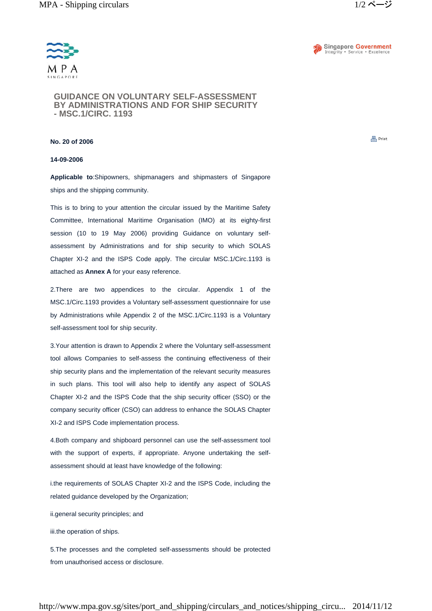



**GUIDANCE ON VOLUNTARY SELF-ASSESSMENT BY ADMINISTRATIONS AND FOR SHIP SECURITY - MSC.1/CIRC. 1193**

## **No. 20 of 2006**

## **14-09-2006**

**Applicable to**:Shipowners, shipmanagers and shipmasters of Singapore ships and the shipping community.

This is to bring to your attention the circular issued by the Maritime Safety Committee, International Maritime Organisation (IMO) at its eighty-first session (10 to 19 May 2006) providing Guidance on voluntary selfassessment by Administrations and for ship security to which SOLAS Chapter XI-2 and the ISPS Code apply. The circular MSC.1/Circ.1193 is attached as **Annex A** for your easy reference.

2.There are two appendices to the circular. Appendix 1 of the MSC.1/Circ.1193 provides a Voluntary self-assessment questionnaire for use by Administrations while Appendix 2 of the MSC.1/Circ.1193 is a Voluntary self-assessment tool for ship security.

3.Your attention is drawn to Appendix 2 where the Voluntary self-assessment tool allows Companies to self-assess the continuing effectiveness of their ship security plans and the implementation of the relevant security measures in such plans. This tool will also help to identify any aspect of SOLAS Chapter XI-2 and the ISPS Code that the ship security officer (SSO) or the company security officer (CSO) can address to enhance the SOLAS Chapter XI-2 and ISPS Code implementation process.

4.Both company and shipboard personnel can use the self-assessment tool with the support of experts, if appropriate. Anyone undertaking the selfassessment should at least have knowledge of the following:

i.the requirements of SOLAS Chapter XI-2 and the ISPS Code, including the related guidance developed by the Organization;

ii.general security principles; and

iii.the operation of ships.

5.The processes and the completed self-assessments should be protected from unauthorised access or disclosure.